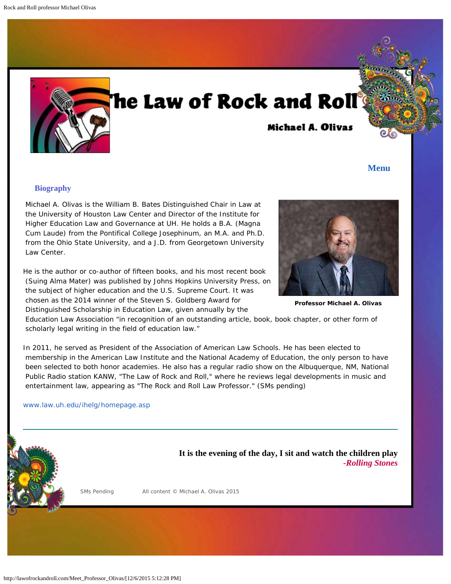<span id="page-0-0"></span>

# he Law of Rock and Roll

## **Michael A. Olivas**

### **[Menu](#page-0-0)**

#### **Biography**

 Michael A. Olivas is the William B. Bates Distinguished Chair in Law at the University of Houston Law Center and Director of the Institute for Higher Education Law and Governance at UH. He holds a B.A. (Magna Cum Laude) from the Pontifical College Josephinum, an M.A. and Ph.D. from the Ohio State University, and a J.D. from Georgetown University Law Center.

He is the author or co-author of fifteen books, and his most recent book (Suing Alma Mater) was published by Johns Hopkins University Press, on the subject of higher education and the U.S. Supreme Court. It was chosen as the 2014 winner of the Steven S. Goldberg Award for Distinguished Scholarship in Education Law, given annually by the



**Professor Michael A. Olivas**

 Education Law Association "in recognition of an outstanding article, book, book chapter, or other form of scholarly legal writing in the field of education law."

In 2011, he served as President of the Association of American Law Schools. He has been elected to membership in the American Law Institute and the National Academy of Education, the only person to have been selected to both honor academies. He also has a regular radio show on the Albuquerque, NM, National Public Radio station KANW, "The Law of Rock and Roll," where he reviews legal developments in music and entertainment law, appearing as "The Rock and Roll Law Professor." (SMs pending)

#### [www.law.uh.edu/ihelg/homepage.asp](http://www.law.uh.edu/ihelg/homepage.asp)

**It is the evening of the day, I sit and watch the children play** *-Rolling Stones*

SMs Pending **All content © Michael A. Olivas 2015**